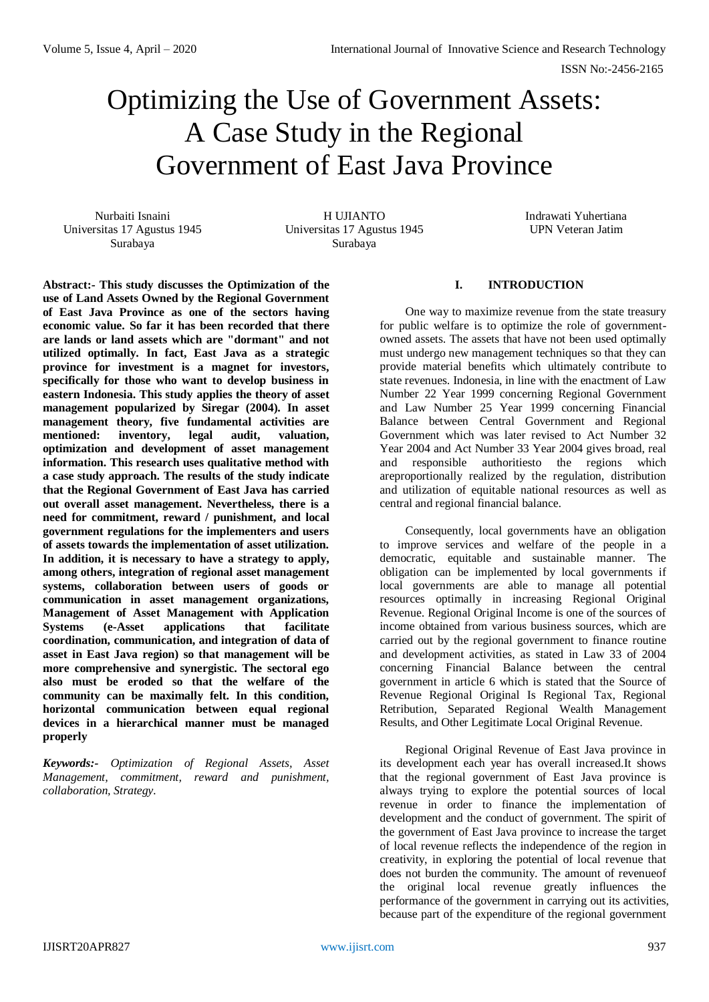# Optimizing the Use of Government Assets: A Case Study in the Regional Government of East Java Province

Nurbaiti Isnaini Universitas 17 Agustus 1945 Surabaya

H UJIANTO Universitas 17 Agustus 1945 Surabaya

Indrawati Yuhertiana UPN Veteran Jatim

**Abstract:- This study discusses the Optimization of the use of Land Assets Owned by the Regional Government of East Java Province as one of the sectors having economic value. So far it has been recorded that there are lands or land assets which are "dormant" and not utilized optimally. In fact, East Java as a strategic province for investment is a magnet for investors, specifically for those who want to develop business in eastern Indonesia. This study applies the theory of asset management popularized by Siregar (2004). In asset management theory, five fundamental activities are mentioned: inventory, legal audit, valuation, optimization and development of asset management information. This research uses qualitative method with a case study approach. The results of the study indicate that the Regional Government of East Java has carried out overall asset management. Nevertheless, there is a need for commitment, reward / punishment, and local government regulations for the implementers and users of assets towards the implementation of asset utilization. In addition, it is necessary to have a strategy to apply, among others, integration of regional asset management systems, collaboration between users of goods or communication in asset management organizations, Management of Asset Management with Application Systems (e-Asset applications that facilitate coordination, communication, and integration of data of asset in East Java region) so that management will be more comprehensive and synergistic. The sectoral ego also must be eroded so that the welfare of the community can be maximally felt. In this condition, horizontal communication between equal regional devices in a hierarchical manner must be managed properly**

*Keywords:- Optimization of Regional Assets, Asset Management, commitment, reward and punishment, collaboration, Strategy.*

# **I. INTRODUCTION**

One way to maximize revenue from the state treasury for public welfare is to optimize the role of governmentowned assets. The assets that have not been used optimally must undergo new management techniques so that they can provide material benefits which ultimately contribute to state revenues. Indonesia, in line with the enactment of Law Number 22 Year 1999 concerning Regional Government and Law Number 25 Year 1999 concerning Financial Balance between Central Government and Regional Government which was later revised to Act Number 32 Year 2004 and Act Number 33 Year 2004 gives broad, real and responsible authoritiesto the regions which areproportionally realized by the regulation, distribution and utilization of equitable national resources as well as central and regional financial balance.

Consequently, local governments have an obligation to improve services and welfare of the people in a democratic, equitable and sustainable manner. The obligation can be implemented by local governments if local governments are able to manage all potential resources optimally in increasing Regional Original Revenue. Regional Original Income is one of the sources of income obtained from various business sources, which are carried out by the regional government to finance routine and development activities, as stated in Law 33 of 2004 concerning Financial Balance between the central government in article 6 which is stated that the Source of Revenue Regional Original Is Regional Tax, Regional Retribution, Separated Regional Wealth Management Results, and Other Legitimate Local Original Revenue.

Regional Original Revenue of East Java province in its development each year has overall increased.It shows that the regional government of East Java province is always trying to explore the potential sources of local revenue in order to finance the implementation of development and the conduct of government. The spirit of the government of East Java province to increase the target of local revenue reflects the independence of the region in creativity, in exploring the potential of local revenue that does not burden the community. The amount of revenueof the original local revenue greatly influences the performance of the government in carrying out its activities, because part of the expenditure of the regional government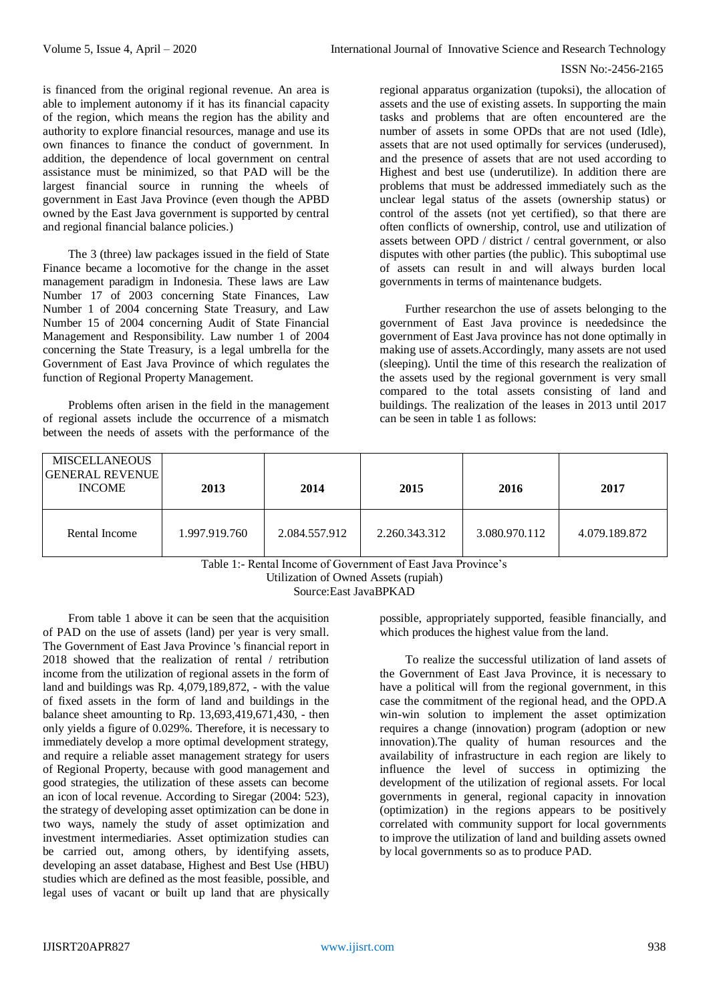is financed from the original regional revenue. An area is able to implement autonomy if it has its financial capacity of the region, which means the region has the ability and authority to explore financial resources, manage and use its own finances to finance the conduct of government. In addition, the dependence of local government on central assistance must be minimized, so that PAD will be the largest financial source in running the wheels of government in East Java Province (even though the APBD owned by the East Java government is supported by central and regional financial balance policies.)

The 3 (three) law packages issued in the field of State Finance became a locomotive for the change in the asset management paradigm in Indonesia. These laws are Law Number 17 of 2003 concerning State Finances, Law Number 1 of 2004 concerning State Treasury, and Law Number 15 of 2004 concerning Audit of State Financial Management and Responsibility. Law number 1 of 2004 concerning the State Treasury, is a legal umbrella for the Government of East Java Province of which regulates the function of Regional Property Management.

Problems often arisen in the field in the management of regional assets include the occurrence of a mismatch between the needs of assets with the performance of the

regional apparatus organization (tupoksi), the allocation of assets and the use of existing assets. In supporting the main tasks and problems that are often encountered are the number of assets in some OPDs that are not used (Idle), assets that are not used optimally for services (underused), and the presence of assets that are not used according to Highest and best use (underutilize). In addition there are problems that must be addressed immediately such as the unclear legal status of the assets (ownership status) or control of the assets (not yet certified), so that there are often conflicts of ownership, control, use and utilization of assets between OPD / district / central government, or also disputes with other parties (the public). This suboptimal use of assets can result in and will always burden local governments in terms of maintenance budgets.

Further researchon the use of assets belonging to the government of East Java province is neededsince the government of East Java province has not done optimally in making use of assets.Accordingly, many assets are not used (sleeping). Until the time of this research the realization of the assets used by the regional government is very small compared to the total assets consisting of land and buildings. The realization of the leases in 2013 until 2017 can be seen in table 1 as follows:

| MISCELLANEOUS<br><b>GENERAL REVENUE</b><br><b>INCOME</b> | 2013          | 2014          | 2015          | 2016          | 2017          |
|----------------------------------------------------------|---------------|---------------|---------------|---------------|---------------|
| Rental Income                                            | 1.997.919.760 | 2.084.557.912 | 2.260.343.312 | 3.080.970.112 | 4.079.189.872 |

Table 1:- Rental Income of Government of East Java Province's Utilization of Owned Assets (rupiah) Source:East JavaBPKAD

From table 1 above it can be seen that the acquisition of PAD on the use of assets (land) per year is very small. The Government of East Java Province 's financial report in 2018 showed that the realization of rental / retribution income from the utilization of regional assets in the form of land and buildings was Rp. 4,079,189,872, - with the value of fixed assets in the form of land and buildings in the balance sheet amounting to Rp. 13,693,419,671,430, - then only yields a figure of 0.029%. Therefore, it is necessary to immediately develop a more optimal development strategy, and require a reliable asset management strategy for users of Regional Property, because with good management and good strategies, the utilization of these assets can become an icon of local revenue. According to Siregar (2004: 523), the strategy of developing asset optimization can be done in two ways, namely the study of asset optimization and investment intermediaries. Asset optimization studies can be carried out, among others, by identifying assets, developing an asset database, Highest and Best Use (HBU) studies which are defined as the most feasible, possible, and legal uses of vacant or built up land that are physically possible, appropriately supported, feasible financially, and which produces the highest value from the land.

To realize the successful utilization of land assets of the Government of East Java Province, it is necessary to have a political will from the regional government, in this case the commitment of the regional head, and the OPD.A win-win solution to implement the asset optimization requires a change (innovation) program (adoption or new innovation).The quality of human resources and the availability of infrastructure in each region are likely to influence the level of success in optimizing the development of the utilization of regional assets. For local governments in general, regional capacity in innovation (optimization) in the regions appears to be positively correlated with community support for local governments to improve the utilization of land and building assets owned by local governments so as to produce PAD.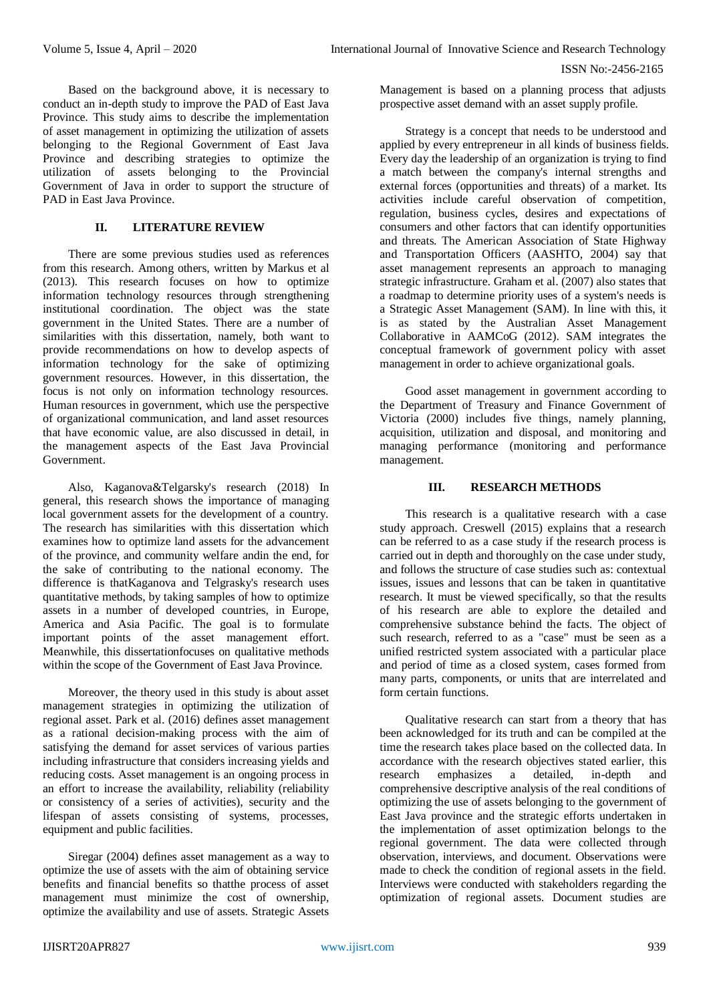Based on the background above, it is necessary to conduct an in-depth study to improve the PAD of East Java Province. This study aims to describe the implementation of asset management in optimizing the utilization of assets belonging to the Regional Government of East Java Province and describing strategies to optimize the utilization of assets belonging to the Provincial Government of Java in order to support the structure of PAD in East Java Province.

## **II. LITERATURE REVIEW**

There are some previous studies used as references from this research. Among others, written by Markus et al (2013). This research focuses on how to optimize information technology resources through strengthening institutional coordination. The object was the state government in the United States. There are a number of similarities with this dissertation, namely, both want to provide recommendations on how to develop aspects of information technology for the sake of optimizing government resources. However, in this dissertation, the focus is not only on information technology resources. Human resources in government, which use the perspective of organizational communication, and land asset resources that have economic value, are also discussed in detail, in the management aspects of the East Java Provincial Government.

Also, Kaganova&Telgarsky's research (2018) In general, this research shows the importance of managing local government assets for the development of a country. The research has similarities with this dissertation which examines how to optimize land assets for the advancement of the province, and community welfare andin the end, for the sake of contributing to the national economy. The difference is thatKaganova and Telgrasky's research uses quantitative methods, by taking samples of how to optimize assets in a number of developed countries, in Europe, America and Asia Pacific. The goal is to formulate important points of the asset management effort. Meanwhile, this dissertationfocuses on qualitative methods within the scope of the Government of East Java Province.

Moreover, the theory used in this study is about asset management strategies in optimizing the utilization of regional asset. Park et al. (2016) defines asset management as a rational decision-making process with the aim of satisfying the demand for asset services of various parties including infrastructure that considers increasing yields and reducing costs. Asset management is an ongoing process in an effort to increase the availability, reliability (reliability or consistency of a series of activities), security and the lifespan of assets consisting of systems, processes, equipment and public facilities.

Siregar (2004) defines asset management as a way to optimize the use of assets with the aim of obtaining service benefits and financial benefits so thatthe process of asset management must minimize the cost of ownership, optimize the availability and use of assets. Strategic Assets

Management is based on a planning process that adjusts prospective asset demand with an asset supply profile.

Strategy is a concept that needs to be understood and applied by every entrepreneur in all kinds of business fields. Every day the leadership of an organization is trying to find a match between the company's internal strengths and external forces (opportunities and threats) of a market. Its activities include careful observation of competition, regulation, business cycles, desires and expectations of consumers and other factors that can identify opportunities and threats. The American Association of State Highway and Transportation Officers (AASHTO, 2004) say that asset management represents an approach to managing strategic infrastructure. Graham et al. (2007) also states that a roadmap to determine priority uses of a system's needs is a Strategic Asset Management (SAM). In line with this, it is as stated by the Australian Asset Management Collaborative in AAMCoG (2012). SAM integrates the conceptual framework of government policy with asset management in order to achieve organizational goals.

Good asset management in government according to the Department of Treasury and Finance Government of Victoria (2000) includes five things, namely planning, acquisition, utilization and disposal, and monitoring and managing performance (monitoring and performance management.

# **III. RESEARCH METHODS**

This research is a qualitative research with a case study approach. Creswell (2015) explains that a research can be referred to as a case study if the research process is carried out in depth and thoroughly on the case under study, and follows the structure of case studies such as: contextual issues, issues and lessons that can be taken in quantitative research. It must be viewed specifically, so that the results of his research are able to explore the detailed and comprehensive substance behind the facts. The object of such research, referred to as a "case" must be seen as a unified restricted system associated with a particular place and period of time as a closed system, cases formed from many parts, components, or units that are interrelated and form certain functions.

Qualitative research can start from a theory that has been acknowledged for its truth and can be compiled at the time the research takes place based on the collected data. In accordance with the research objectives stated earlier, this research emphasizes a detailed, in-depth and comprehensive descriptive analysis of the real conditions of optimizing the use of assets belonging to the government of East Java province and the strategic efforts undertaken in the implementation of asset optimization belongs to the regional government. The data were collected through observation, interviews, and document. Observations were made to check the condition of regional assets in the field. Interviews were conducted with stakeholders regarding the optimization of regional assets. Document studies are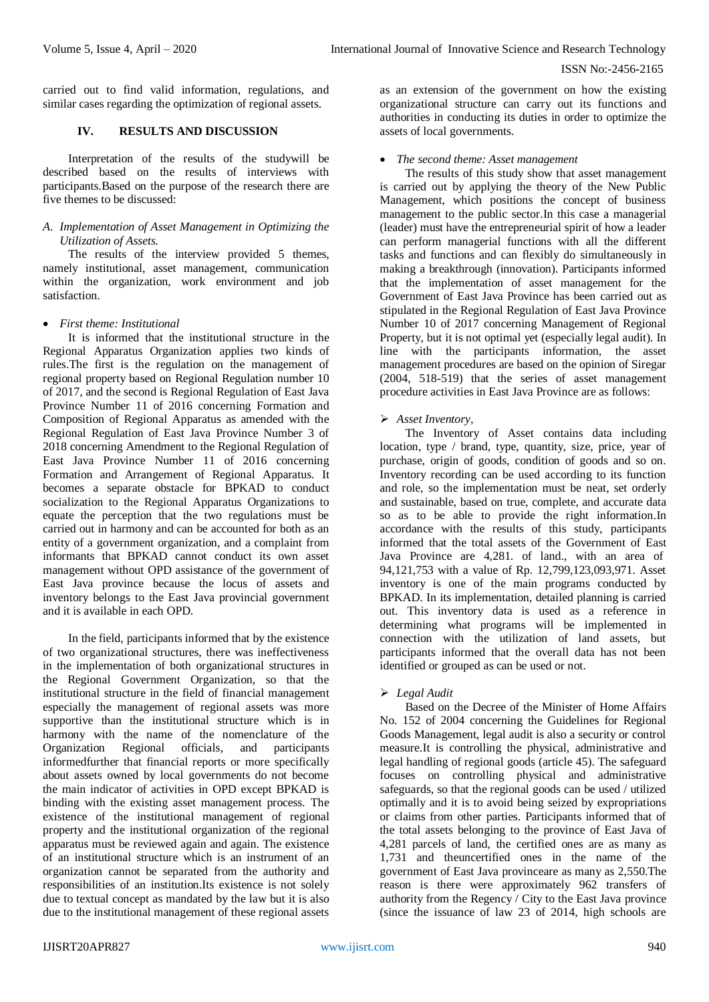carried out to find valid information, regulations, and similar cases regarding the optimization of regional assets.

# **IV. RESULTS AND DISCUSSION**

Interpretation of the results of the studywill be described based on the results of interviews with participants.Based on the purpose of the research there are five themes to be discussed:

#### *A. Implementation of Asset Management in Optimizing the Utilization of Assets.*

The results of the interview provided 5 themes, namely institutional, asset management, communication within the organization, work environment and job satisfaction.

## *First theme: Institutional*

It is informed that the institutional structure in the Regional Apparatus Organization applies two kinds of rules.The first is the regulation on the management of regional property based on Regional Regulation number 10 of 2017, and the second is Regional Regulation of East Java Province Number 11 of 2016 concerning Formation and Composition of Regional Apparatus as amended with the Regional Regulation of East Java Province Number 3 of 2018 concerning Amendment to the Regional Regulation of East Java Province Number 11 of 2016 concerning Formation and Arrangement of Regional Apparatus. It becomes a separate obstacle for BPKAD to conduct socialization to the Regional Apparatus Organizations to equate the perception that the two regulations must be carried out in harmony and can be accounted for both as an entity of a government organization, and a complaint from informants that BPKAD cannot conduct its own asset management without OPD assistance of the government of East Java province because the locus of assets and inventory belongs to the East Java provincial government and it is available in each OPD.

In the field, participants informed that by the existence of two organizational structures, there was ineffectiveness in the implementation of both organizational structures in the Regional Government Organization, so that the institutional structure in the field of financial management especially the management of regional assets was more supportive than the institutional structure which is in harmony with the name of the nomenclature of the Organization Regional officials, and participants informedfurther that financial reports or more specifically about assets owned by local governments do not become the main indicator of activities in OPD except BPKAD is binding with the existing asset management process. The existence of the institutional management of regional property and the institutional organization of the regional apparatus must be reviewed again and again. The existence of an institutional structure which is an instrument of an organization cannot be separated from the authority and responsibilities of an institution.Its existence is not solely due to textual concept as mandated by the law but it is also due to the institutional management of these regional assets

as an extension of the government on how the existing organizational structure can carry out its functions and authorities in conducting its duties in order to optimize the assets of local governments.

#### *The second theme: Asset management*

The results of this study show that asset management is carried out by applying the theory of the New Public Management, which positions the concept of business management to the public sector.In this case a managerial (leader) must have the entrepreneurial spirit of how a leader can perform managerial functions with all the different tasks and functions and can flexibly do simultaneously in making a breakthrough (innovation). Participants informed that the implementation of asset management for the Government of East Java Province has been carried out as stipulated in the Regional Regulation of East Java Province Number 10 of 2017 concerning Management of Regional Property, but it is not optimal yet (especially legal audit). In line with the participants information, the asset management procedures are based on the opinion of Siregar (2004, 518-519) that the series of asset management procedure activities in East Java Province are as follows:

# *Asset Inventory,*

The Inventory of Asset contains data including location, type / brand, type, quantity, size, price, year of purchase, origin of goods, condition of goods and so on. Inventory recording can be used according to its function and role, so the implementation must be neat, set orderly and sustainable, based on true, complete, and accurate data so as to be able to provide the right information.In accordance with the results of this study, participants informed that the total assets of the Government of East Java Province are 4,281. of land., with an area of 94,121,753 with a value of Rp. 12,799,123,093,971. Asset inventory is one of the main programs conducted by BPKAD. In its implementation, detailed planning is carried out. This inventory data is used as a reference in determining what programs will be implemented in connection with the utilization of land assets, but participants informed that the overall data has not been identified or grouped as can be used or not.

## *Legal Audit*

Based on the Decree of the Minister of Home Affairs No. 152 of 2004 concerning the Guidelines for Regional Goods Management, legal audit is also a security or control measure.It is controlling the physical, administrative and legal handling of regional goods (article 45). The safeguard focuses on controlling physical and administrative safeguards, so that the regional goods can be used / utilized optimally and it is to avoid being seized by expropriations or claims from other parties. Participants informed that of the total assets belonging to the province of East Java of 4,281 parcels of land, the certified ones are as many as 1,731 and theuncertified ones in the name of the government of East Java provinceare as many as 2,550.The reason is there were approximately 962 transfers of authority from the Regency / City to the East Java province (since the issuance of law 23 of 2014, high schools are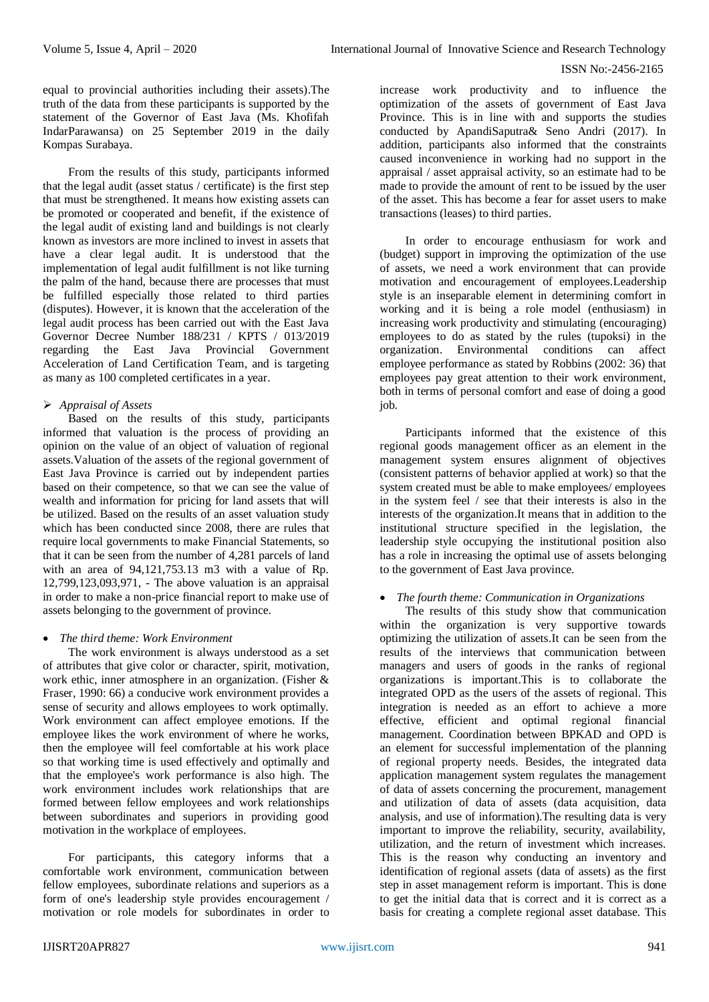equal to provincial authorities including their assets).The truth of the data from these participants is supported by the statement of the Governor of East Java (Ms. Khofifah IndarParawansa) on 25 September 2019 in the daily Kompas Surabaya.

From the results of this study, participants informed that the legal audit (asset status / certificate) is the first step that must be strengthened. It means how existing assets can be promoted or cooperated and benefit, if the existence of the legal audit of existing land and buildings is not clearly known as investors are more inclined to invest in assets that have a clear legal audit. It is understood that the implementation of legal audit fulfillment is not like turning the palm of the hand, because there are processes that must be fulfilled especially those related to third parties (disputes). However, it is known that the acceleration of the legal audit process has been carried out with the East Java Governor Decree Number 188/231 / KPTS / 013/2019 regarding the East Java Provincial Government Acceleration of Land Certification Team, and is targeting as many as 100 completed certificates in a year.

# *Appraisal of Assets*

Based on the results of this study, participants informed that valuation is the process of providing an opinion on the value of an object of valuation of regional assets.Valuation of the assets of the regional government of East Java Province is carried out by independent parties based on their competence, so that we can see the value of wealth and information for pricing for land assets that will be utilized. Based on the results of an asset valuation study which has been conducted since 2008, there are rules that require local governments to make Financial Statements, so that it can be seen from the number of 4,281 parcels of land with an area of 94,121,753.13 m3 with a value of Rp. 12,799,123,093,971, - The above valuation is an appraisal in order to make a non-price financial report to make use of assets belonging to the government of province.

# *The third theme: Work Environment*

The work environment is always understood as a set of attributes that give color or character, spirit, motivation, work ethic, inner atmosphere in an organization. (Fisher & Fraser, 1990: 66) a conducive work environment provides a sense of security and allows employees to work optimally. Work environment can affect employee emotions. If the employee likes the work environment of where he works, then the employee will feel comfortable at his work place so that working time is used effectively and optimally and that the employee's work performance is also high. The work environment includes work relationships that are formed between fellow employees and work relationships between subordinates and superiors in providing good motivation in the workplace of employees.

For participants, this category informs that a comfortable work environment, communication between fellow employees, subordinate relations and superiors as a form of one's leadership style provides encouragement / motivation or role models for subordinates in order to

increase work productivity and to influence the optimization of the assets of government of East Java Province. This is in line with and supports the studies conducted by ApandiSaputra& Seno Andri (2017). In addition, participants also informed that the constraints caused inconvenience in working had no support in the appraisal / asset appraisal activity, so an estimate had to be made to provide the amount of rent to be issued by the user of the asset. This has become a fear for asset users to make transactions (leases) to third parties.

In order to encourage enthusiasm for work and (budget) support in improving the optimization of the use of assets, we need a work environment that can provide motivation and encouragement of employees.Leadership style is an inseparable element in determining comfort in working and it is being a role model (enthusiasm) in increasing work productivity and stimulating (encouraging) employees to do as stated by the rules (tupoksi) in the organization. Environmental conditions can affect employee performance as stated by Robbins (2002: 36) that employees pay great attention to their work environment, both in terms of personal comfort and ease of doing a good job.

Participants informed that the existence of this regional goods management officer as an element in the management system ensures alignment of objectives (consistent patterns of behavior applied at work) so that the system created must be able to make employees/ employees in the system feel / see that their interests is also in the interests of the organization.It means that in addition to the institutional structure specified in the legislation, the leadership style occupying the institutional position also has a role in increasing the optimal use of assets belonging to the government of East Java province.

## *The fourth theme: Communication in Organizations*

The results of this study show that communication within the organization is very supportive towards optimizing the utilization of assets.It can be seen from the results of the interviews that communication between managers and users of goods in the ranks of regional organizations is important.This is to collaborate the integrated OPD as the users of the assets of regional. This integration is needed as an effort to achieve a more effective, efficient and optimal regional financial management. Coordination between BPKAD and OPD is an element for successful implementation of the planning of regional property needs. Besides, the integrated data application management system regulates the management of data of assets concerning the procurement, management and utilization of data of assets (data acquisition, data analysis, and use of information).The resulting data is very important to improve the reliability, security, availability, utilization, and the return of investment which increases. This is the reason why conducting an inventory and identification of regional assets (data of assets) as the first step in asset management reform is important. This is done to get the initial data that is correct and it is correct as a basis for creating a complete regional asset database. This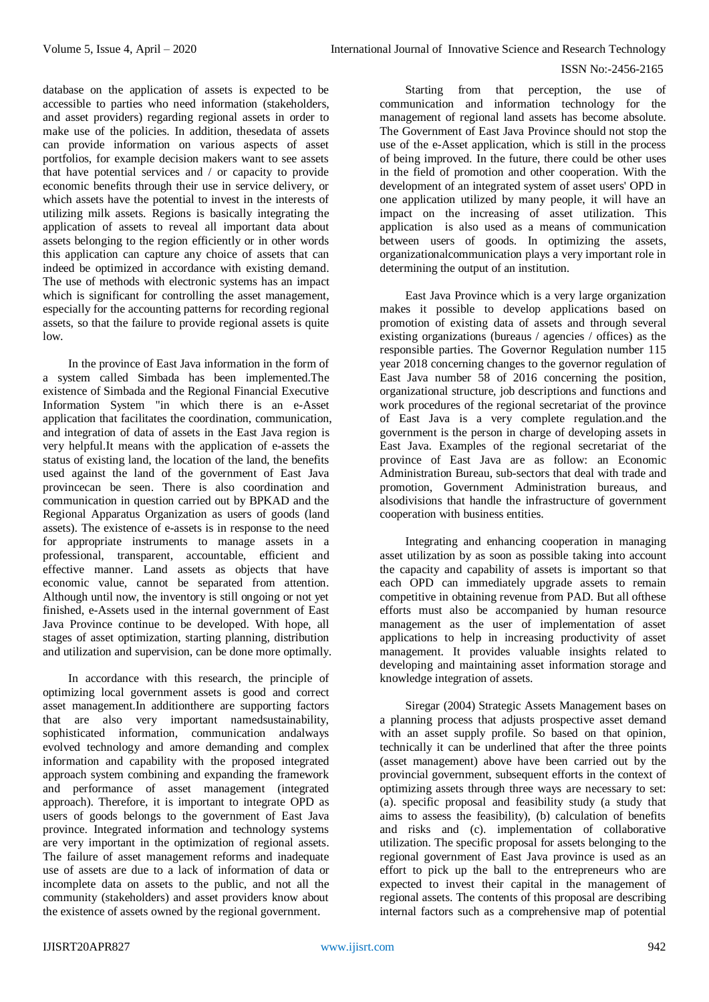database on the application of assets is expected to be accessible to parties who need information (stakeholders, and asset providers) regarding regional assets in order to make use of the policies. In addition, thesedata of assets can provide information on various aspects of asset portfolios, for example decision makers want to see assets that have potential services and / or capacity to provide economic benefits through their use in service delivery, or which assets have the potential to invest in the interests of utilizing milk assets. Regions is basically integrating the application of assets to reveal all important data about assets belonging to the region efficiently or in other words this application can capture any choice of assets that can indeed be optimized in accordance with existing demand. The use of methods with electronic systems has an impact which is significant for controlling the asset management, especially for the accounting patterns for recording regional assets, so that the failure to provide regional assets is quite low.

In the province of East Java information in the form of a system called Simbada has been implemented.The existence of Simbada and the Regional Financial Executive Information System "in which there is an e-Asset application that facilitates the coordination, communication, and integration of data of assets in the East Java region is very helpful.It means with the application of e-assets the status of existing land, the location of the land, the benefits used against the land of the government of East Java provincecan be seen. There is also coordination and communication in question carried out by BPKAD and the Regional Apparatus Organization as users of goods (land assets). The existence of e-assets is in response to the need for appropriate instruments to manage assets in a professional, transparent, accountable, efficient and effective manner. Land assets as objects that have economic value, cannot be separated from attention. Although until now, the inventory is still ongoing or not yet finished, e-Assets used in the internal government of East Java Province continue to be developed. With hope, all stages of asset optimization, starting planning, distribution and utilization and supervision, can be done more optimally.

In accordance with this research, the principle of optimizing local government assets is good and correct asset management.In additionthere are supporting factors that are also very important namedsustainability, sophisticated information, communication andalways evolved technology and amore demanding and complex information and capability with the proposed integrated approach system combining and expanding the framework and performance of asset management (integrated approach). Therefore, it is important to integrate OPD as users of goods belongs to the government of East Java province. Integrated information and technology systems are very important in the optimization of regional assets. The failure of asset management reforms and inadequate use of assets are due to a lack of information of data or incomplete data on assets to the public, and not all the community (stakeholders) and asset providers know about the existence of assets owned by the regional government.

Starting from that perception, the use of communication and information technology for the management of regional land assets has become absolute. The Government of East Java Province should not stop the use of the e-Asset application, which is still in the process of being improved. In the future, there could be other uses in the field of promotion and other cooperation. With the development of an integrated system of asset users' OPD in one application utilized by many people, it will have an impact on the increasing of asset utilization. This application is also used as a means of communication between users of goods. In optimizing the assets, organizationalcommunication plays a very important role in determining the output of an institution.

East Java Province which is a very large organization makes it possible to develop applications based on promotion of existing data of assets and through several existing organizations (bureaus / agencies / offices) as the responsible parties. The Governor Regulation number 115 year 2018 concerning changes to the governor regulation of East Java number 58 of 2016 concerning the position, organizational structure, job descriptions and functions and work procedures of the regional secretariat of the province of East Java is a very complete regulation.and the government is the person in charge of developing assets in East Java. Examples of the regional secretariat of the province of East Java are as follow: an Economic Administration Bureau, sub-sectors that deal with trade and promotion, Government Administration bureaus, and alsodivisions that handle the infrastructure of government cooperation with business entities.

Integrating and enhancing cooperation in managing asset utilization by as soon as possible taking into account the capacity and capability of assets is important so that each OPD can immediately upgrade assets to remain competitive in obtaining revenue from PAD. But all ofthese efforts must also be accompanied by human resource management as the user of implementation of asset applications to help in increasing productivity of asset management. It provides valuable insights related to developing and maintaining asset information storage and knowledge integration of assets.

Siregar (2004) Strategic Assets Management bases on a planning process that adjusts prospective asset demand with an asset supply profile. So based on that opinion, technically it can be underlined that after the three points (asset management) above have been carried out by the provincial government, subsequent efforts in the context of optimizing assets through three ways are necessary to set: (a). specific proposal and feasibility study (a study that aims to assess the feasibility), (b) calculation of benefits and risks and (c). implementation of collaborative utilization. The specific proposal for assets belonging to the regional government of East Java province is used as an effort to pick up the ball to the entrepreneurs who are expected to invest their capital in the management of regional assets. The contents of this proposal are describing internal factors such as a comprehensive map of potential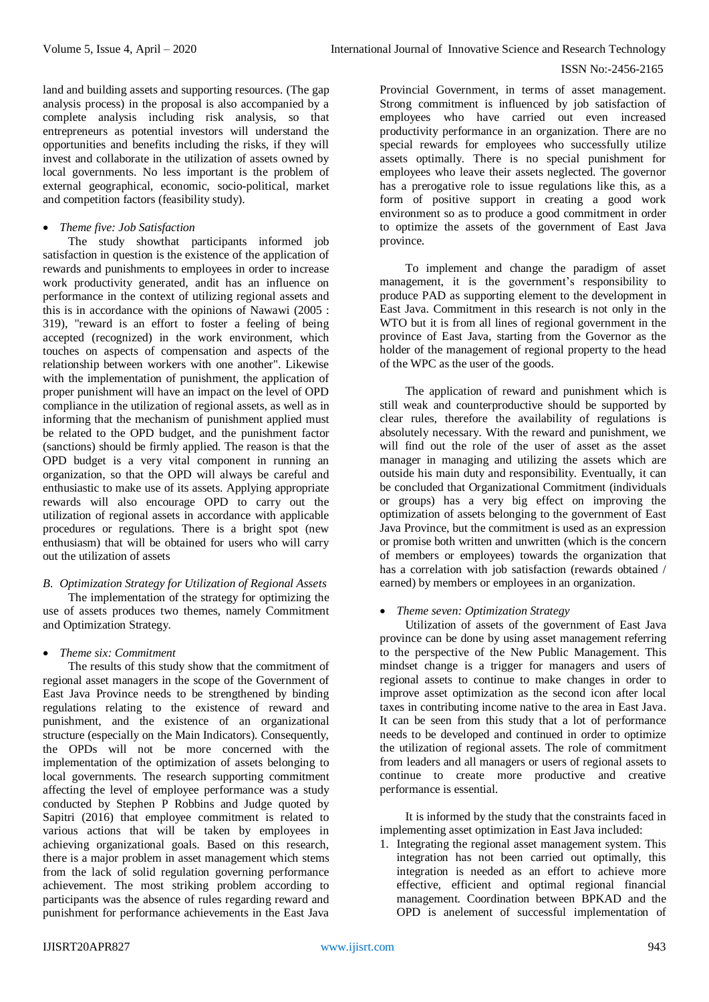land and building assets and supporting resources. (The gap analysis process) in the proposal is also accompanied by a complete analysis including risk analysis, so that entrepreneurs as potential investors will understand the opportunities and benefits including the risks, if they will invest and collaborate in the utilization of assets owned by local governments. No less important is the problem of external geographical, economic, socio-political, market and competition factors (feasibility study).

# *Theme five: Job Satisfaction*

The study showthat participants informed job satisfaction in question is the existence of the application of rewards and punishments to employees in order to increase work productivity generated, andit has an influence on performance in the context of utilizing regional assets and this is in accordance with the opinions of Nawawi (2005 : 319), "reward is an effort to foster a feeling of being accepted (recognized) in the work environment, which touches on aspects of compensation and aspects of the relationship between workers with one another". Likewise with the implementation of punishment, the application of proper punishment will have an impact on the level of OPD compliance in the utilization of regional assets, as well as in informing that the mechanism of punishment applied must be related to the OPD budget, and the punishment factor (sanctions) should be firmly applied. The reason is that the OPD budget is a very vital component in running an organization, so that the OPD will always be careful and enthusiastic to make use of its assets. Applying appropriate rewards will also encourage OPD to carry out the utilization of regional assets in accordance with applicable procedures or regulations. There is a bright spot (new enthusiasm) that will be obtained for users who will carry out the utilization of assets

# *B. Optimization Strategy for Utilization of Regional Assets*

The implementation of the strategy for optimizing the use of assets produces two themes, namely Commitment and Optimization Strategy.

## *Theme six: Commitment*

The results of this study show that the commitment of regional asset managers in the scope of the Government of East Java Province needs to be strengthened by binding regulations relating to the existence of reward and punishment, and the existence of an organizational structure (especially on the Main Indicators). Consequently, the OPDs will not be more concerned with the implementation of the optimization of assets belonging to local governments. The research supporting commitment affecting the level of employee performance was a study conducted by Stephen P Robbins and Judge quoted by Sapitri (2016) that employee commitment is related to various actions that will be taken by employees in achieving organizational goals. Based on this research, there is a major problem in asset management which stems from the lack of solid regulation governing performance achievement. The most striking problem according to participants was the absence of rules regarding reward and punishment for performance achievements in the East Java

Provincial Government, in terms of asset management. Strong commitment is influenced by job satisfaction of employees who have carried out even increased productivity performance in an organization. There are no special rewards for employees who successfully utilize assets optimally. There is no special punishment for employees who leave their assets neglected. The governor has a prerogative role to issue regulations like this, as a form of positive support in creating a good work environment so as to produce a good commitment in order to optimize the assets of the government of East Java province.

To implement and change the paradigm of asset management, it is the government's responsibility to produce PAD as supporting element to the development in East Java. Commitment in this research is not only in the WTO but it is from all lines of regional government in the province of East Java, starting from the Governor as the holder of the management of regional property to the head of the WPC as the user of the goods.

The application of reward and punishment which is still weak and counterproductive should be supported by clear rules, therefore the availability of regulations is absolutely necessary. With the reward and punishment, we will find out the role of the user of asset as the asset manager in managing and utilizing the assets which are outside his main duty and responsibility. Eventually, it can be concluded that Organizational Commitment (individuals or groups) has a very big effect on improving the optimization of assets belonging to the government of East Java Province, but the commitment is used as an expression or promise both written and unwritten (which is the concern of members or employees) towards the organization that has a correlation with job satisfaction (rewards obtained / earned) by members or employees in an organization.

## *Theme seven: Optimization Strategy*

Utilization of assets of the government of East Java province can be done by using asset management referring to the perspective of the New Public Management. This mindset change is a trigger for managers and users of regional assets to continue to make changes in order to improve asset optimization as the second icon after local taxes in contributing income native to the area in East Java. It can be seen from this study that a lot of performance needs to be developed and continued in order to optimize the utilization of regional assets. The role of commitment from leaders and all managers or users of regional assets to continue to create more productive and creative performance is essential.

It is informed by the study that the constraints faced in implementing asset optimization in East Java included:

1. Integrating the regional asset management system. This integration has not been carried out optimally, this integration is needed as an effort to achieve more effective, efficient and optimal regional financial management. Coordination between BPKAD and the OPD is anelement of successful implementation of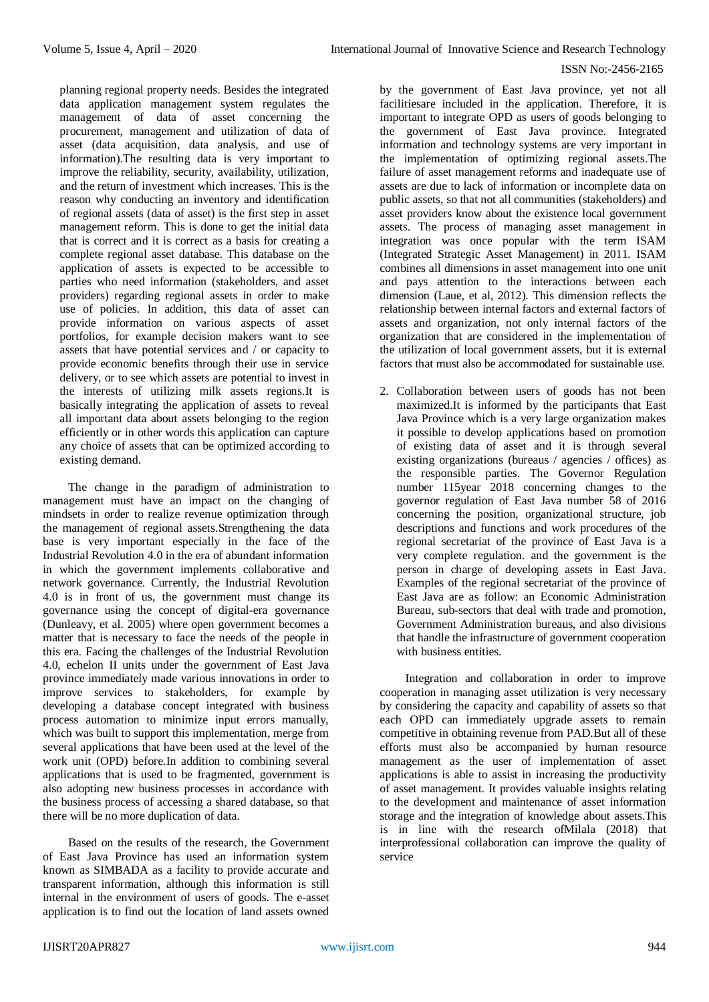planning regional property needs. Besides the integrated data application management system regulates the management of data of asset concerning the procurement, management and utilization of data of asset (data acquisition, data analysis, and use of information).The resulting data is very important to improve the reliability, security, availability, utilization, and the return of investment which increases. This is the reason why conducting an inventory and identification of regional assets (data of asset) is the first step in asset management reform. This is done to get the initial data that is correct and it is correct as a basis for creating a complete regional asset database. This database on the application of assets is expected to be accessible to parties who need information (stakeholders, and asset providers) regarding regional assets in order to make use of policies. In addition, this data of asset can provide information on various aspects of asset portfolios, for example decision makers want to see assets that have potential services and / or capacity to provide economic benefits through their use in service delivery, or to see which assets are potential to invest in the interests of utilizing milk assets regions.It is basically integrating the application of assets to reveal all important data about assets belonging to the region efficiently or in other words this application can capture any choice of assets that can be optimized according to existing demand.

The change in the paradigm of administration to management must have an impact on the changing of mindsets in order to realize revenue optimization through the management of regional assets.Strengthening the data base is very important especially in the face of the Industrial Revolution 4.0 in the era of abundant information in which the government implements collaborative and network governance. Currently, the Industrial Revolution 4.0 is in front of us, the government must change its governance using the concept of digital-era governance (Dunleavy, et al. 2005) where open government becomes a matter that is necessary to face the needs of the people in this era. Facing the challenges of the Industrial Revolution 4.0, echelon II units under the government of East Java province immediately made various innovations in order to improve services to stakeholders, for example by developing a database concept integrated with business process automation to minimize input errors manually, which was built to support this implementation, merge from several applications that have been used at the level of the work unit (OPD) before.In addition to combining several applications that is used to be fragmented, government is also adopting new business processes in accordance with the business process of accessing a shared database, so that there will be no more duplication of data.

Based on the results of the research, the Government of East Java Province has used an information system known as SIMBADA as a facility to provide accurate and transparent information, although this information is still internal in the environment of users of goods. The e-asset application is to find out the location of land assets owned

by the government of East Java province, yet not all facilitiesare included in the application. Therefore, it is important to integrate OPD as users of goods belonging to the government of East Java province. Integrated information and technology systems are very important in the implementation of optimizing regional assets.The failure of asset management reforms and inadequate use of assets are due to lack of information or incomplete data on public assets, so that not all communities (stakeholders) and asset providers know about the existence local government assets. The process of managing asset management in integration was once popular with the term ISAM (Integrated Strategic Asset Management) in 2011. ISAM combines all dimensions in asset management into one unit and pays attention to the interactions between each dimension (Laue, et al, 2012). This dimension reflects the relationship between internal factors and external factors of assets and organization, not only internal factors of the organization that are considered in the implementation of the utilization of local government assets, but it is external factors that must also be accommodated for sustainable use.

2. Collaboration between users of goods has not been maximized.It is informed by the participants that East Java Province which is a very large organization makes it possible to develop applications based on promotion of existing data of asset and it is through several existing organizations (bureaus / agencies / offices) as the responsible parties. The Governor Regulation number 115year 2018 concerning changes to the governor regulation of East Java number 58 of 2016 concerning the position, organizational structure, job descriptions and functions and work procedures of the regional secretariat of the province of East Java is a very complete regulation. and the government is the person in charge of developing assets in East Java. Examples of the regional secretariat of the province of East Java are as follow: an Economic Administration Bureau, sub-sectors that deal with trade and promotion, Government Administration bureaus, and also divisions that handle the infrastructure of government cooperation with business entities.

Integration and collaboration in order to improve cooperation in managing asset utilization is very necessary by considering the capacity and capability of assets so that each OPD can immediately upgrade assets to remain competitive in obtaining revenue from PAD.But all of these efforts must also be accompanied by human resource management as the user of implementation of asset applications is able to assist in increasing the productivity of asset management. It provides valuable insights relating to the development and maintenance of asset information storage and the integration of knowledge about assets.This is in line with the research ofMilala (2018) that interprofessional collaboration can improve the quality of service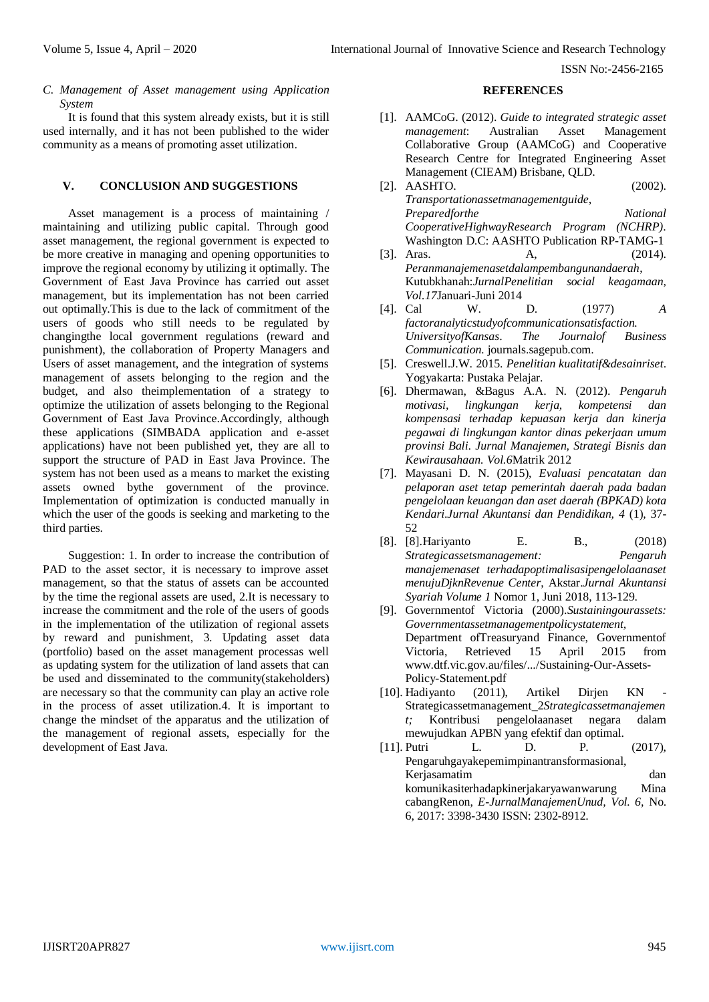*C. Management of Asset management using Application System* 

It is found that this system already exists, but it is still used internally, and it has not been published to the wider community as a means of promoting asset utilization.

# **V. CONCLUSION AND SUGGESTIONS**

Asset management is a process of maintaining / maintaining and utilizing public capital. Through good asset management, the regional government is expected to be more creative in managing and opening opportunities to improve the regional economy by utilizing it optimally. The Government of East Java Province has carried out asset management, but its implementation has not been carried out optimally.This is due to the lack of commitment of the users of goods who still needs to be regulated by changingthe local government regulations (reward and punishment), the collaboration of Property Managers and Users of asset management, and the integration of systems management of assets belonging to the region and the budget, and also theimplementation of a strategy to optimize the utilization of assets belonging to the Regional Government of East Java Province.Accordingly, although these applications (SIMBADA application and e-asset applications) have not been published yet, they are all to support the structure of PAD in East Java Province. The system has not been used as a means to market the existing assets owned bythe government of the province. Implementation of optimization is conducted manually in which the user of the goods is seeking and marketing to the third parties.

Suggestion: 1. In order to increase the contribution of PAD to the asset sector, it is necessary to improve asset management, so that the status of assets can be accounted by the time the regional assets are used, 2.It is necessary to increase the commitment and the role of the users of goods in the implementation of the utilization of regional assets by reward and punishment, 3. Updating asset data (portfolio) based on the asset management processas well as updating system for the utilization of land assets that can be used and disseminated to the community(stakeholders) are necessary so that the community can play an active role in the process of asset utilization.4. It is important to change the mindset of the apparatus and the utilization of the management of regional assets, especially for the development of East Java.

#### **REFERENCES**

- [1]. AAMCoG. (2012). *Guide to integrated strategic asset management*: Australian Asset Management Collaborative Group (AAMCoG) and Cooperative Research Centre for Integrated Engineering Asset Management (CIEAM) Brisbane, QLD.
- [2]. AASHTO. (2002). *Transportationassetmanagementguide, Preparedforthe National CooperativeHighwayResearch Program (NCHRP)*. Washington D.C: AASHTO Publication RP-TAMG-1
- [3]. Aras. **A**, (2014). *Peranmanajemenasetdalampembangunandaerah*, Kutubkhanah:*JurnalPenelitian social keagamaan, Vol.17*Januari-Juni 2014
- [4]. Cal W. D. (1977) *A factoranalyticstudyofcommunicationsatisfaction. UniversityofKansas*. *The Journalof Business Communication.* journals.sagepub.com.
- [5]. Creswell.J.W. 2015. *Penelitian kualitatif&desainriset*. Yogyakarta: Pustaka Pelajar.
- [6]. Dhermawan, &Bagus A.A. N. (2012). *Pengaruh motivasi, lingkungan kerja, kompetensi dan kompensasi terhadap kepuasan kerja dan kinerja pegawai di lingkungan kantor dinas pekerjaan umum provinsi Bali*. *Jurnal Manajemen, Strategi Bisnis dan Kewirausahaan. Vol.6*Matrik 2012
- [7]. Mayasani D. N. (2015), *Evaluasi pencatatan dan pelaporan aset tetap pemerintah daerah pada badan pengelolaan keuangan dan aset daerah (BPKAD) kota Kendari*.*Jurnal Akuntansi dan Pendidikan, 4* (1)*,* 37- 52
- [8]. [8].Hariyanto E. B., (2018) *Strategicassetsmanagement: Pengaruh manajemenaset terhadapoptimalisasipengelolaanaset menujuDjknRevenue Center*, Akstar.*Jurnal Akuntansi Syariah Volume 1* Nomor 1, Juni 2018, 113-129.
- [9]. Governmentof Victoria (2000).*Sustainingourassets: Governmentassetmanagementpolicystatement,* Department ofTreasuryand Finance, Governmentof Victoria, Retrieved 15 April 2015 from [www.dtf.vic.gov.au/files/.../Sustaining-Our-Assets-](http://www.dtf.vic.gov.au/files/.../Sustaining-Our-Assets-Policy-Statement.pdf)[Policy-Statement.pdf](http://www.dtf.vic.gov.au/files/.../Sustaining-Our-Assets-Policy-Statement.pdf)
- [10]. Hadiyanto (2011), Artikel Dirjen KN Strategicassetmanagement\_2*Strategicassetmanajemen t;* Kontribusi pengelolaanaset negara dalam mewujudkan APBN yang efektif dan optimal.
- [11]. Putri L. D. P. (2017), Pengaruhgayakepemimpinantransformasional, Kerjasamatim dan komunikasiterhadapkinerjakaryawanwarung Mina cabangRenon, *E-JurnalManajemenUnud, Vol. 6,* No. 6, 2017: 3398-3430 ISSN: 2302-8912.